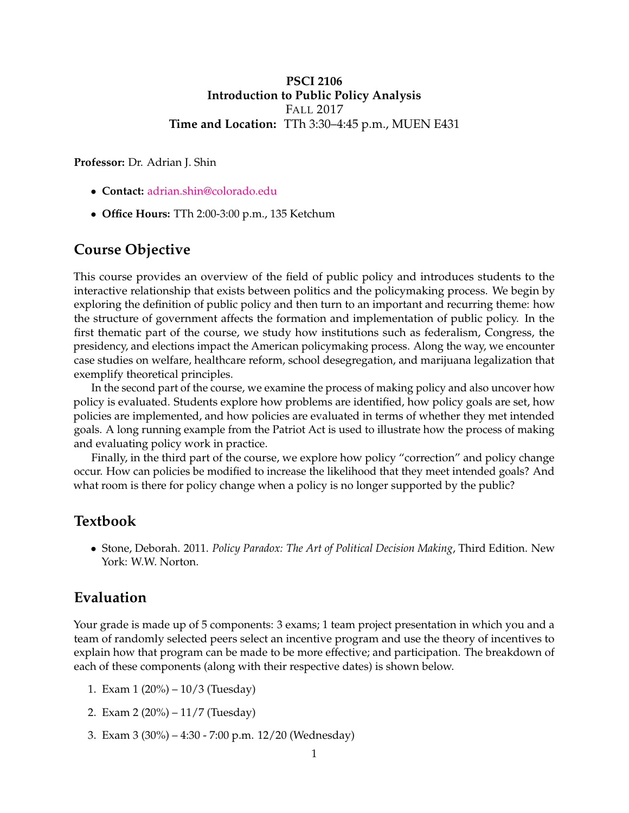### **PSCI 2106 Introduction to Public Policy Analysis** FALL 2017 **Time and Location:** TTh 3:30–4:45 p.m., MUEN E431

**Professor:** Dr. Adrian J. Shin

- **Contact:** [adrian.shin@colorado.edu](mailto:adrian.shin@colorado.edu)
- **Office Hours:** TTh 2:00-3:00 p.m., 135 Ketchum

### **Course Objective**

This course provides an overview of the field of public policy and introduces students to the interactive relationship that exists between politics and the policymaking process. We begin by exploring the definition of public policy and then turn to an important and recurring theme: how the structure of government affects the formation and implementation of public policy. In the first thematic part of the course, we study how institutions such as federalism, Congress, the presidency, and elections impact the American policymaking process. Along the way, we encounter case studies on welfare, healthcare reform, school desegregation, and marijuana legalization that exemplify theoretical principles.

In the second part of the course, we examine the process of making policy and also uncover how policy is evaluated. Students explore how problems are identified, how policy goals are set, how policies are implemented, and how policies are evaluated in terms of whether they met intended goals. A long running example from the Patriot Act is used to illustrate how the process of making and evaluating policy work in practice.

Finally, in the third part of the course, we explore how policy "correction" and policy change occur. How can policies be modified to increase the likelihood that they meet intended goals? And what room is there for policy change when a policy is no longer supported by the public?

### **Textbook**

• Stone, Deborah. 2011. *Policy Paradox: The Art of Political Decision Making*, Third Edition. New York: W.W. Norton.

### **Evaluation**

Your grade is made up of 5 components: 3 exams; 1 team project presentation in which you and a team of randomly selected peers select an incentive program and use the theory of incentives to explain how that program can be made to be more effective; and participation. The breakdown of each of these components (along with their respective dates) is shown below.

- 1. Exam 1 (20%) 10/3 (Tuesday)
- 2. Exam 2 (20%) 11/7 (Tuesday)
- 3. Exam 3 (30%) 4:30 7:00 p.m. 12/20 (Wednesday)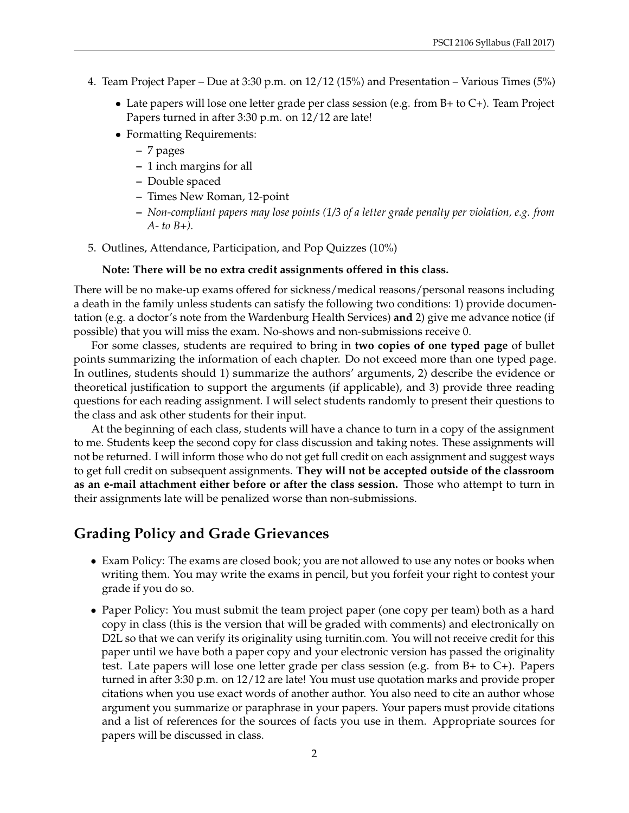- 4. Team Project Paper Due at 3:30 p.m. on 12/12 (15%) and Presentation Various Times (5%)
	- Late papers will lose one letter grade per class session (e.g. from  $B$ + to  $C$ +). Team Project Papers turned in after 3:30 p.m. on 12/12 are late!
	- Formatting Requirements:
		- **–** 7 pages
		- **–** 1 inch margins for all
		- **–** Double spaced
		- **–** Times New Roman, 12-point
		- **–** *Non-compliant papers may lose points (1/3 of a letter grade penalty per violation, e.g. from A- to B+).*
- 5. Outlines, Attendance, Participation, and Pop Quizzes (10%)

#### **Note: There will be no extra credit assignments offered in this class.**

There will be no make-up exams offered for sickness/medical reasons/personal reasons including a death in the family unless students can satisfy the following two conditions: 1) provide documentation (e.g. a doctor's note from the Wardenburg Health Services) **and** 2) give me advance notice (if possible) that you will miss the exam. No-shows and non-submissions receive 0.

For some classes, students are required to bring in **two copies of one typed page** of bullet points summarizing the information of each chapter. Do not exceed more than one typed page. In outlines, students should 1) summarize the authors' arguments, 2) describe the evidence or theoretical justification to support the arguments (if applicable), and 3) provide three reading questions for each reading assignment. I will select students randomly to present their questions to the class and ask other students for their input.

At the beginning of each class, students will have a chance to turn in a copy of the assignment to me. Students keep the second copy for class discussion and taking notes. These assignments will not be returned. I will inform those who do not get full credit on each assignment and suggest ways to get full credit on subsequent assignments. **They will not be accepted outside of the classroom as an e-mail attachment either before or after the class session.** Those who attempt to turn in their assignments late will be penalized worse than non-submissions.

### **Grading Policy and Grade Grievances**

- Exam Policy: The exams are closed book; you are not allowed to use any notes or books when writing them. You may write the exams in pencil, but you forfeit your right to contest your grade if you do so.
- Paper Policy: You must submit the team project paper (one copy per team) both as a hard copy in class (this is the version that will be graded with comments) and electronically on D2L so that we can verify its originality using turnitin.com. You will not receive credit for this paper until we have both a paper copy and your electronic version has passed the originality test. Late papers will lose one letter grade per class session (e.g. from B+ to C+). Papers turned in after 3:30 p.m. on 12/12 are late! You must use quotation marks and provide proper citations when you use exact words of another author. You also need to cite an author whose argument you summarize or paraphrase in your papers. Your papers must provide citations and a list of references for the sources of facts you use in them. Appropriate sources for papers will be discussed in class.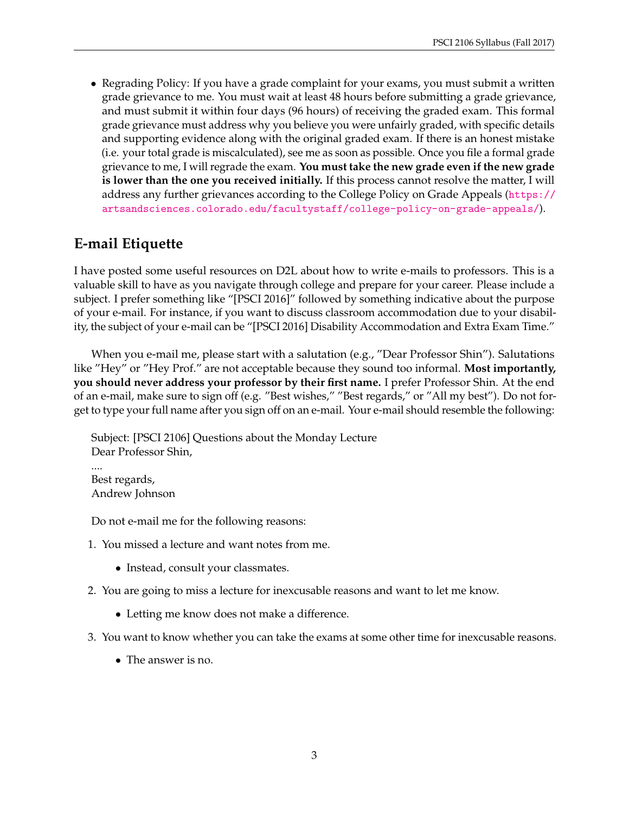• Regrading Policy: If you have a grade complaint for your exams, you must submit a written grade grievance to me. You must wait at least 48 hours before submitting a grade grievance, and must submit it within four days (96 hours) of receiving the graded exam. This formal grade grievance must address why you believe you were unfairly graded, with specific details and supporting evidence along with the original graded exam. If there is an honest mistake (i.e. your total grade is miscalculated), see me as soon as possible. Once you file a formal grade grievance to me, I will regrade the exam. **You must take the new grade even if the new grade is lower than the one you received initially.** If this process cannot resolve the matter, I will address any further grievances according to the College Policy on Grade Appeals ([https://](https://artsandsciences.colorado.edu/facultystaff/college-policy-on-grade-appeals/) [artsandsciences.colorado.edu/facultystaff/college-policy-on-grade-appeals/](https://artsandsciences.colorado.edu/facultystaff/college-policy-on-grade-appeals/)).

# **E-mail Etiquette**

I have posted some useful resources on D2L about how to write e-mails to professors. This is a valuable skill to have as you navigate through college and prepare for your career. Please include a subject. I prefer something like "[PSCI 2016]" followed by something indicative about the purpose of your e-mail. For instance, if you want to discuss classroom accommodation due to your disability, the subject of your e-mail can be "[PSCI 2016] Disability Accommodation and Extra Exam Time."

When you e-mail me, please start with a salutation (e.g., "Dear Professor Shin"). Salutations like "Hey" or "Hey Prof." are not acceptable because they sound too informal. **Most importantly, you should never address your professor by their first name.** I prefer Professor Shin. At the end of an e-mail, make sure to sign off (e.g. "Best wishes," "Best regards," or "All my best"). Do not forget to type your full name after you sign off on an e-mail. Your e-mail should resemble the following:

Subject: [PSCI 2106] Questions about the Monday Lecture Dear Professor Shin, .... Best regards, Andrew Johnson

Do not e-mail me for the following reasons:

- 1. You missed a lecture and want notes from me.
	- Instead, consult your classmates.
- 2. You are going to miss a lecture for inexcusable reasons and want to let me know.
	- Letting me know does not make a difference.
- 3. You want to know whether you can take the exams at some other time for inexcusable reasons.
	- The answer is no.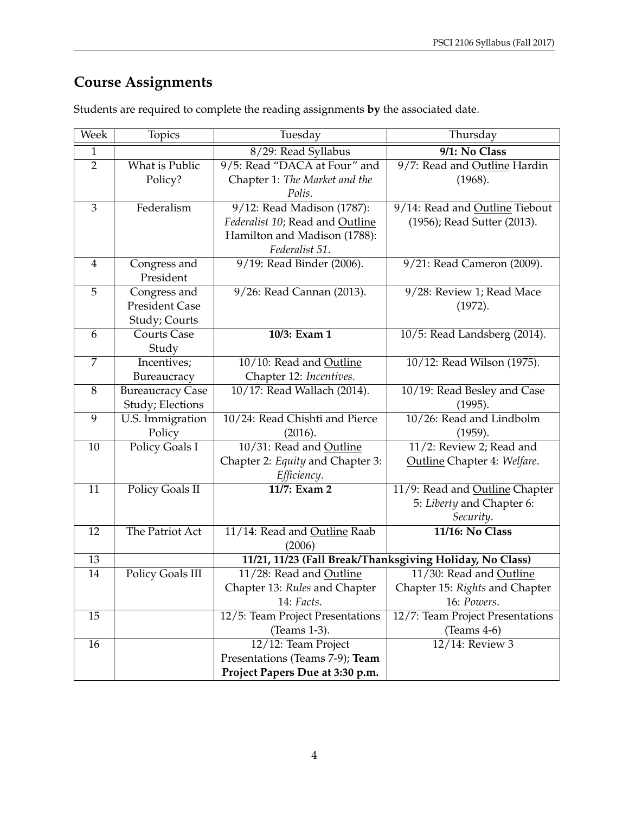# **Course Assignments**

| Week           | Topics                  | Tuesday                                     | Thursday                                                 |
|----------------|-------------------------|---------------------------------------------|----------------------------------------------------------|
| $\mathbf{1}$   |                         | 8/29: Read Syllabus                         | 9/1: No Class                                            |
| $\overline{2}$ | What is Public          | 9/5: Read "DACA at Four" and                | 9/7: Read and Outline Hardin                             |
|                | Policy?                 | Chapter 1: The Market and the               | (1968).                                                  |
|                |                         | Polis.                                      |                                                          |
| 3              | Federalism              | 9/12: Read Madison (1787):                  | 9/14: Read and Outline Tiebout                           |
|                |                         | Federalist 10; Read and Outline             | (1956); Read Sutter (2013).                              |
|                |                         | Hamilton and Madison (1788):                |                                                          |
|                |                         | Federalist 51.                              |                                                          |
| $\overline{4}$ | Congress and            | 9/19: Read Binder (2006).                   | 9/21: Read Cameron (2009).                               |
|                | President               |                                             |                                                          |
| 5              | Congress and            | 9/26: Read Cannan (2013).                   | 9/28: Review 1; Read Mace                                |
|                | <b>President Case</b>   |                                             | (1972).                                                  |
|                | Study; Courts           |                                             |                                                          |
| 6              | <b>Courts Case</b>      | 10/3: Exam 1                                | 10/5: Read Landsberg (2014).                             |
|                | Study                   |                                             |                                                          |
| 7              | Incentives;             | 10/10: Read and Outline                     | 10/12: Read Wilson (1975).                               |
|                | Bureaucracy             | Chapter 12: Incentives.                     |                                                          |
| 8              | <b>Bureaucracy Case</b> | 10/17: Read Wallach (2014).                 | 10/19: Read Besley and Case                              |
|                | Study; Elections        |                                             | (1995).                                                  |
| 9              | U.S. Immigration        | 10/24: Read Chishti and Pierce              | 10/26: Read and Lindbolm                                 |
|                | Policy                  | (2016).                                     | (1959).                                                  |
| 10             | Policy Goals I          | 10/31: Read and Outline                     | 11/2: Review 2; Read and                                 |
|                |                         | Chapter 2: Equity and Chapter 3:            | Outline Chapter 4: Welfare.                              |
|                |                         | Efficiency.                                 |                                                          |
| 11             | Policy Goals II         | 11/7: Exam 2                                | 11/9: Read and Outline Chapter                           |
|                |                         |                                             | 5: Liberty and Chapter 6:                                |
|                |                         |                                             | Security.                                                |
| 12             | The Patriot Act         | 11/14: Read and Outline Raab                | 11/16: No Class                                          |
|                |                         | (2006)                                      |                                                          |
| 13<br>14       |                         |                                             | 11/21, 11/23 (Fall Break/Thanksgiving Holiday, No Class) |
|                | Policy Goals III        | 11/28: Read and Outline                     | 11/30: Read and Outline                                  |
|                |                         | Chapter 13: Rules and Chapter<br>14: Facts. | Chapter 15: Rights and Chapter                           |
|                |                         | 12/5: Team Project Presentations            | 16: Powers.                                              |
| 15             |                         |                                             | 12/7: Team Project Presentations<br>$(Teams 4-6)$        |
| 16             |                         | (Teams 1-3).                                | 12/14: Review 3                                          |
|                |                         | 12/12: Team Project                         |                                                          |
|                |                         | Presentations (Teams 7-9); Team             |                                                          |
|                |                         | Project Papers Due at 3:30 p.m.             |                                                          |

Students are required to complete the reading assignments **by** the associated date.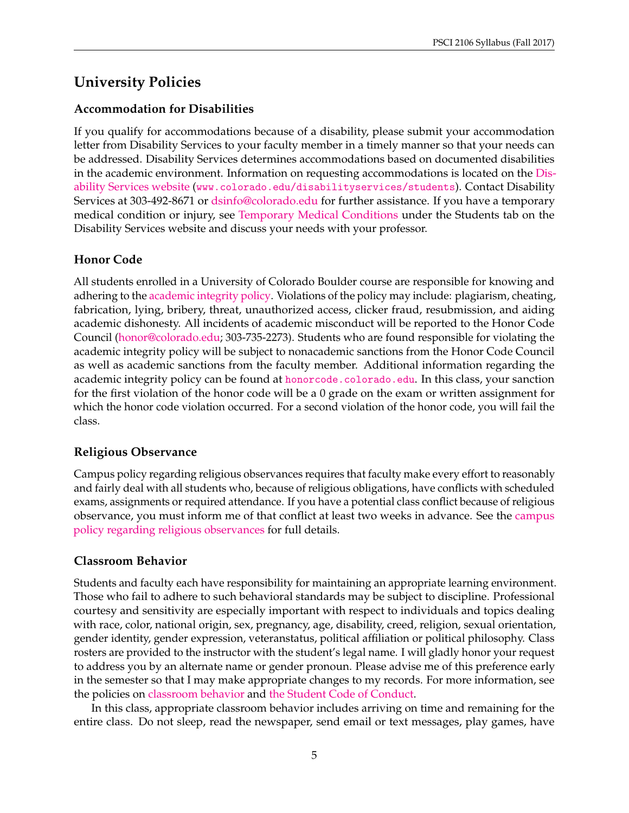# **University Policies**

### **Accommodation for Disabilities**

If you qualify for accommodations because of a disability, please submit your accommodation letter from Disability Services to your faculty member in a timely manner so that your needs can be addressed. Disability Services determines accommodations based on documented disabilities in the academic environment. Information on requesting accommodations is located on the [Dis](http://www.colorado.edu/disabilityservices/students)[ability Services website](http://www.colorado.edu/disabilityservices/students) (<www.colorado.edu/disabilityservices/students>). Contact Disability Services at 303-492-8671 or [dsinfo@colorado.edu](mailto:dsinfo@colorado.edu) for further assistance. If you have a temporary medical condition or injury, see [Temporary Medical Conditions](http://www.colorado.edu/disabilityservices/students/temporary-medical-conditions) under the Students tab on the Disability Services website and discuss your needs with your professor.

# **Honor Code**

All students enrolled in a University of Colorado Boulder course are responsible for knowing and adhering to the [academic integrity policy.](http://www.colorado.edu/policies/academic-integrity-policy) Violations of the policy may include: plagiarism, cheating, fabrication, lying, bribery, threat, unauthorized access, clicker fraud, resubmission, and aiding academic dishonesty. All incidents of academic misconduct will be reported to the Honor Code Council [\(honor@colorado.edu;](mailto:honor@colorado.edu) 303-735-2273). Students who are found responsible for violating the academic integrity policy will be subject to nonacademic sanctions from the Honor Code Council as well as academic sanctions from the faculty member. Additional information regarding the academic integrity policy can be found at <honorcode.colorado.edu>. In this class, your sanction for the first violation of the honor code will be a 0 grade on the exam or written assignment for which the honor code violation occurred. For a second violation of the honor code, you will fail the class.

### **Religious Observance**

Campus policy regarding religious observances requires that faculty make every effort to reasonably and fairly deal with all students who, because of religious obligations, have conflicts with scheduled exams, assignments or required attendance. If you have a potential class conflict because of religious observance, you must inform me of that conflict at least two weeks in advance. See the [campus](http://www.colorado.edu/policies/observance-religious-holidays-and-absences-classes-andor-exams) [policy regarding religious observances](http://www.colorado.edu/policies/observance-religious-holidays-and-absences-classes-andor-exams) for full details.

### **Classroom Behavior**

Students and faculty each have responsibility for maintaining an appropriate learning environment. Those who fail to adhere to such behavioral standards may be subject to discipline. Professional courtesy and sensitivity are especially important with respect to individuals and topics dealing with race, color, national origin, sex, pregnancy, age, disability, creed, religion, sexual orientation, gender identity, gender expression, veteranstatus, political affiliation or political philosophy. Class rosters are provided to the instructor with the student's legal name. I will gladly honor your request to address you by an alternate name or gender pronoun. Please advise me of this preference early in the semester so that I may make appropriate changes to my records. For more information, see the policies on [classroom behavior](http://www.colorado.edu/policies/student-classroom-and-course-related-behavior) and [the Student Code of Conduct.](http://www.colorado.edu/osccr/)

In this class, appropriate classroom behavior includes arriving on time and remaining for the entire class. Do not sleep, read the newspaper, send email or text messages, play games, have